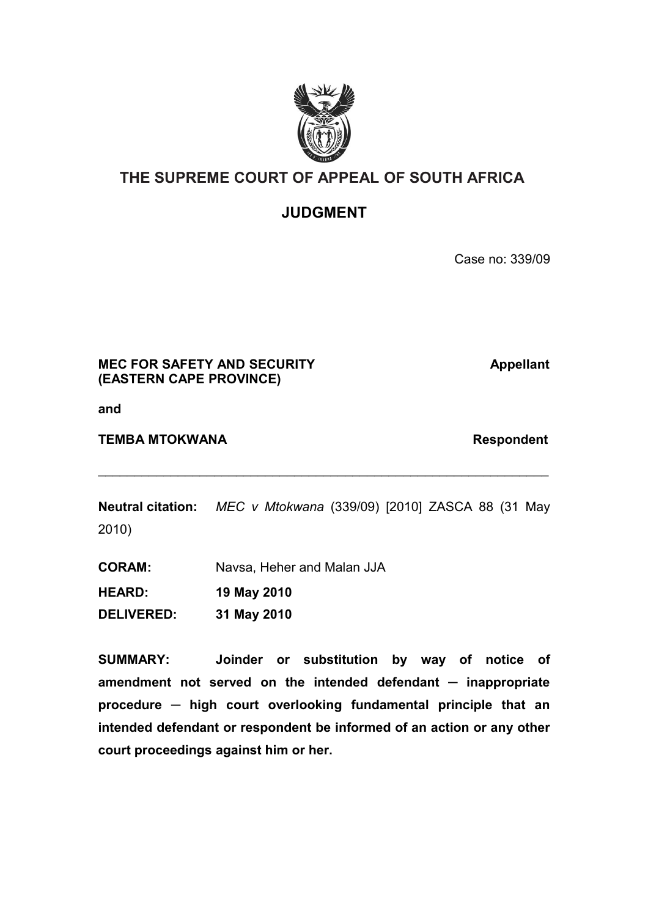

# **THE SUPREME COURT OF APPEAL OF SOUTH AFRICA**

## **JUDGMENT**

Case no: 339/09

## **MEC FOR SAFETY AND SECURITY Appellant (EASTERN CAPE PROVINCE)**

**and**

### **TEMBA MTOKWANA** Respondent

**Neutral citation:** *MEC v Mtokwana* (339/09) [2010] ZASCA 88 (31 May 2010)

 $\mathcal{L}_\text{max} = \mathcal{L}_\text{max} = \mathcal{L}_\text{max} = \mathcal{L}_\text{max} = \mathcal{L}_\text{max} = \mathcal{L}_\text{max} = \mathcal{L}_\text{max} = \mathcal{L}_\text{max} = \mathcal{L}_\text{max} = \mathcal{L}_\text{max} = \mathcal{L}_\text{max} = \mathcal{L}_\text{max} = \mathcal{L}_\text{max} = \mathcal{L}_\text{max} = \mathcal{L}_\text{max} = \mathcal{L}_\text{max} = \mathcal{L}_\text{max} = \mathcal{L}_\text{max} = \mathcal{$ 

**CORAM:** Navsa, Heher and Malan JJA **HEARD: 19 May 2010 DELIVERED: 31 May 2010**

**SUMMARY: Joinder or substitution by way of notice of amendment not served on the intended defendant ─ inappropriate procedure ─ high court overlooking fundamental principle that an intended defendant or respondent be informed of an action or any other court proceedings against him or her.**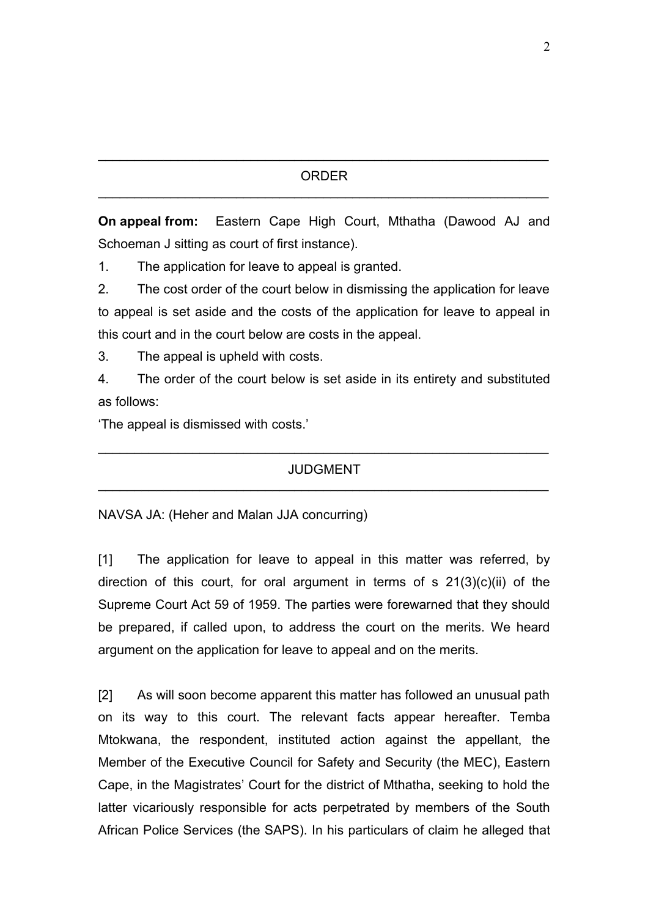#### ORDER  $\mathcal{L}_\text{max} = \mathcal{L}_\text{max} = \mathcal{L}_\text{max} = \mathcal{L}_\text{max} = \mathcal{L}_\text{max} = \mathcal{L}_\text{max} = \mathcal{L}_\text{max} = \mathcal{L}_\text{max} = \mathcal{L}_\text{max} = \mathcal{L}_\text{max} = \mathcal{L}_\text{max} = \mathcal{L}_\text{max} = \mathcal{L}_\text{max} = \mathcal{L}_\text{max} = \mathcal{L}_\text{max} = \mathcal{L}_\text{max} = \mathcal{L}_\text{max} = \mathcal{L}_\text{max} = \mathcal{$

 $\mathcal{L}_\text{max} = \mathcal{L}_\text{max} = \mathcal{L}_\text{max} = \mathcal{L}_\text{max} = \mathcal{L}_\text{max} = \mathcal{L}_\text{max} = \mathcal{L}_\text{max} = \mathcal{L}_\text{max} = \mathcal{L}_\text{max} = \mathcal{L}_\text{max} = \mathcal{L}_\text{max} = \mathcal{L}_\text{max} = \mathcal{L}_\text{max} = \mathcal{L}_\text{max} = \mathcal{L}_\text{max} = \mathcal{L}_\text{max} = \mathcal{L}_\text{max} = \mathcal{L}_\text{max} = \mathcal{$ 

**On appeal from:** Eastern Cape High Court, Mthatha (Dawood AJ and Schoeman J sitting as court of first instance).

1. The application for leave to appeal is granted.

2. The cost order of the court below in dismissing the application for leave to appeal is set aside and the costs of the application for leave to appeal in this court and in the court below are costs in the appeal.

3. The appeal is upheld with costs.

4. The order of the court below is set aside in its entirety and substituted as follows:

'The appeal is dismissed with costs.'

#### JUDGMENT  $\mathcal{L}_\text{max} = \mathcal{L}_\text{max} = \mathcal{L}_\text{max} = \mathcal{L}_\text{max} = \mathcal{L}_\text{max} = \mathcal{L}_\text{max} = \mathcal{L}_\text{max} = \mathcal{L}_\text{max} = \mathcal{L}_\text{max} = \mathcal{L}_\text{max} = \mathcal{L}_\text{max} = \mathcal{L}_\text{max} = \mathcal{L}_\text{max} = \mathcal{L}_\text{max} = \mathcal{L}_\text{max} = \mathcal{L}_\text{max} = \mathcal{L}_\text{max} = \mathcal{L}_\text{max} = \mathcal{$

 $\mathcal{L}_\text{max} = \mathcal{L}_\text{max} = \mathcal{L}_\text{max} = \mathcal{L}_\text{max} = \mathcal{L}_\text{max} = \mathcal{L}_\text{max} = \mathcal{L}_\text{max} = \mathcal{L}_\text{max} = \mathcal{L}_\text{max} = \mathcal{L}_\text{max} = \mathcal{L}_\text{max} = \mathcal{L}_\text{max} = \mathcal{L}_\text{max} = \mathcal{L}_\text{max} = \mathcal{L}_\text{max} = \mathcal{L}_\text{max} = \mathcal{L}_\text{max} = \mathcal{L}_\text{max} = \mathcal{$ 

NAVSA JA: (Heher and Malan JJA concurring)

[1] The application for leave to appeal in this matter was referred, by direction of this court, for oral argument in terms of  $s$  21(3)(c)(ii) of the Supreme Court Act 59 of 1959. The parties were forewarned that they should be prepared, if called upon, to address the court on the merits. We heard argument on the application for leave to appeal and on the merits.

[2] As will soon become apparent this matter has followed an unusual path on its way to this court. The relevant facts appear hereafter. Temba Mtokwana, the respondent, instituted action against the appellant, the Member of the Executive Council for Safety and Security (the MEC), Eastern Cape, in the Magistrates' Court for the district of Mthatha, seeking to hold the latter vicariously responsible for acts perpetrated by members of the South African Police Services (the SAPS). In his particulars of claim he alleged that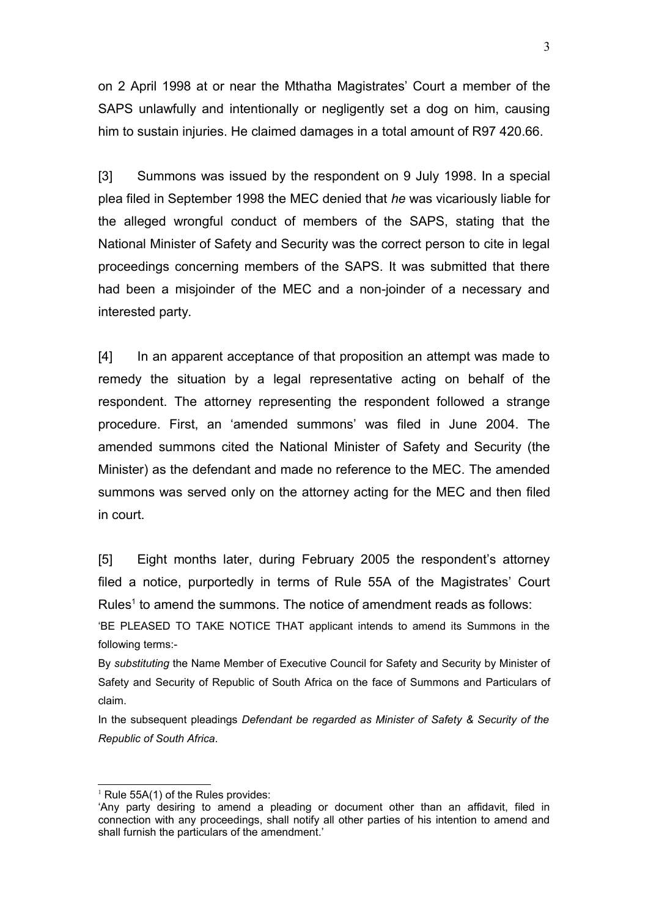on 2 April 1998 at or near the Mthatha Magistrates' Court a member of the SAPS unlawfully and intentionally or negligently set a dog on him, causing him to sustain injuries. He claimed damages in a total amount of R97 420.66.

[3] Summons was issued by the respondent on 9 July 1998. In a special plea filed in September 1998 the MEC denied that *he* was vicariously liable for the alleged wrongful conduct of members of the SAPS, stating that the National Minister of Safety and Security was the correct person to cite in legal proceedings concerning members of the SAPS. It was submitted that there had been a misjoinder of the MEC and a non-joinder of a necessary and interested party.

[4] In an apparent acceptance of that proposition an attempt was made to remedy the situation by a legal representative acting on behalf of the respondent. The attorney representing the respondent followed a strange procedure. First, an 'amended summons' was filed in June 2004. The amended summons cited the National Minister of Safety and Security (the Minister) as the defendant and made no reference to the MEC. The amended summons was served only on the attorney acting for the MEC and then filed in court.

[5] Eight months later, during February 2005 the respondent's attorney filed a notice, purportedly in terms of Rule 55A of the Magistrates' Court Rules<sup>[1](#page-2-0)</sup> to amend the summons. The notice of amendment reads as follows:

'BE PLEASED TO TAKE NOTICE THAT applicant intends to amend its Summons in the following terms:-

By *substituting* the Name Member of Executive Council for Safety and Security by Minister of Safety and Security of Republic of South Africa on the face of Summons and Particulars of claim.

In the subsequent pleadings *Defendant be regarded as Minister of Safety & Security of the Republic of South Africa*.

<span id="page-2-0"></span> $<sup>1</sup>$  Rule 55A(1) of the Rules provides:</sup>

<sup>&#</sup>x27;Any party desiring to amend a pleading or document other than an affidavit, filed in connection with any proceedings, shall notify all other parties of his intention to amend and shall furnish the particulars of the amendment.'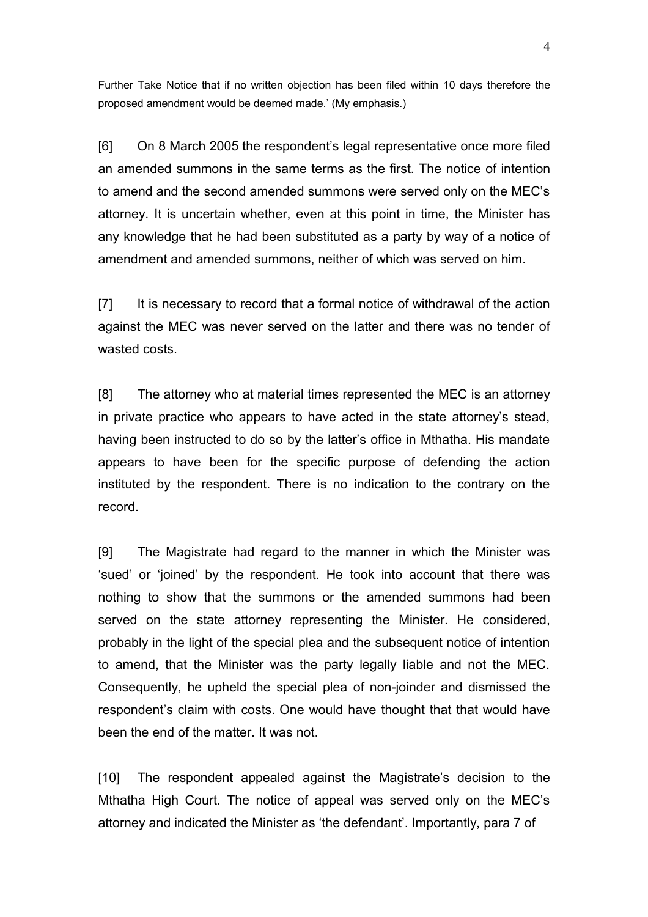Further Take Notice that if no written objection has been filed within 10 days therefore the proposed amendment would be deemed made.' (My emphasis.)

[6] On 8 March 2005 the respondent's legal representative once more filed an amended summons in the same terms as the first. The notice of intention to amend and the second amended summons were served only on the MEC's attorney. It is uncertain whether, even at this point in time, the Minister has any knowledge that he had been substituted as a party by way of a notice of amendment and amended summons, neither of which was served on him.

[7] It is necessary to record that a formal notice of withdrawal of the action against the MEC was never served on the latter and there was no tender of wasted costs.

[8] The attorney who at material times represented the MEC is an attorney in private practice who appears to have acted in the state attorney's stead, having been instructed to do so by the latter's office in Mthatha. His mandate appears to have been for the specific purpose of defending the action instituted by the respondent. There is no indication to the contrary on the record.

[9] The Magistrate had regard to the manner in which the Minister was 'sued' or 'joined' by the respondent. He took into account that there was nothing to show that the summons or the amended summons had been served on the state attorney representing the Minister. He considered, probably in the light of the special plea and the subsequent notice of intention to amend, that the Minister was the party legally liable and not the MEC. Consequently, he upheld the special plea of non-joinder and dismissed the respondent's claim with costs. One would have thought that that would have been the end of the matter. It was not.

[10] The respondent appealed against the Magistrate's decision to the Mthatha High Court. The notice of appeal was served only on the MEC's attorney and indicated the Minister as 'the defendant'. Importantly, para 7 of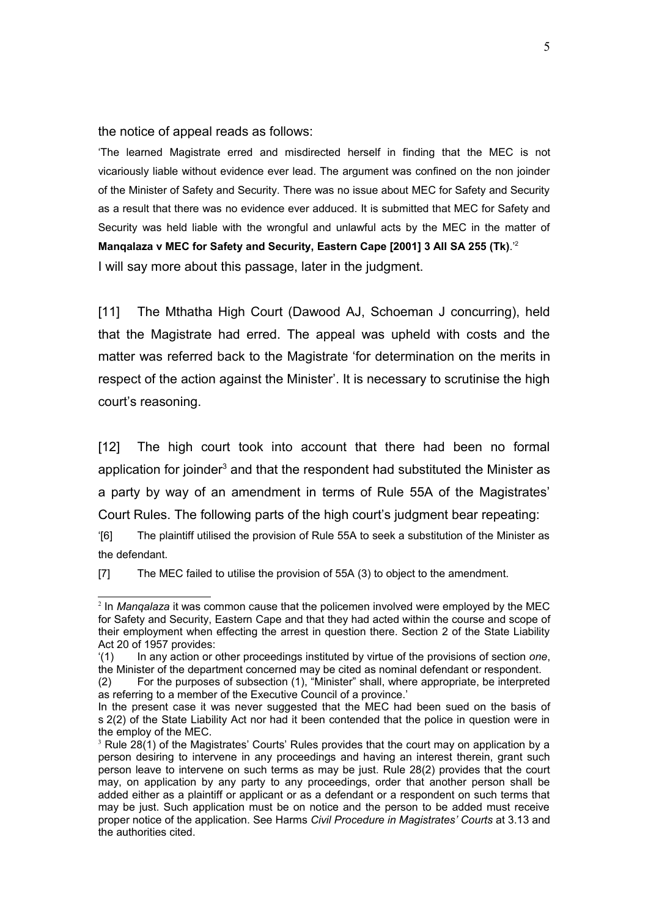the notice of appeal reads as follows:

'The learned Magistrate erred and misdirected herself in finding that the MEC is not vicariously liable without evidence ever lead. The argument was confined on the non joinder of the Minister of Safety and Security. There was no issue about MEC for Safety and Security as a result that there was no evidence ever adduced. It is submitted that MEC for Safety and Security was held liable with the wrongful and unlawful acts by the MEC in the matter of **Manqalaza v MEC for Safety and Security, Eastern Cape [2001] 3 All SA 255 (Tk)**.'[2](#page-4-0) I will say more about this passage, later in the judgment.

[11] The Mthatha High Court (Dawood AJ, Schoeman J concurring), held that the Magistrate had erred. The appeal was upheld with costs and the matter was referred back to the Magistrate 'for determination on the merits in respect of the action against the Minister'. It is necessary to scrutinise the high court's reasoning.

[12] The high court took into account that there had been no formal application for joinder<sup>[3](#page-4-1)</sup> and that the respondent had substituted the Minister as a party by way of an amendment in terms of Rule 55A of the Magistrates' Court Rules. The following parts of the high court's judgment bear repeating:

'[6] The plaintiff utilised the provision of Rule 55A to seek a substitution of the Minister as the defendant.

[7] The MEC failed to utilise the provision of 55A (3) to object to the amendment.

<span id="page-4-0"></span><sup>2</sup> In *Manqalaza* it was common cause that the policemen involved were employed by the MEC for Safety and Security, Eastern Cape and that they had acted within the course and scope of their employment when effecting the arrest in question there. Section 2 of the State Liability Act 20 of 1957 provides:

<sup>&#</sup>x27;(1) In any action or other proceedings instituted by virtue of the provisions of section *one*, the Minister of the department concerned may be cited as nominal defendant or respondent.

<sup>(2)</sup> For the purposes of subsection (1), "Minister" shall, where appropriate, be interpreted as referring to a member of the Executive Council of a province.'

In the present case it was never suggested that the MEC had been sued on the basis of s 2(2) of the State Liability Act nor had it been contended that the police in question were in the employ of the MEC.

<span id="page-4-1"></span> $3$  Rule 28(1) of the Magistrates' Courts' Rules provides that the court may on application by a person desiring to intervene in any proceedings and having an interest therein, grant such person leave to intervene on such terms as may be just. Rule 28(2) provides that the court may, on application by any party to any proceedings, order that another person shall be added either as a plaintiff or applicant or as a defendant or a respondent on such terms that may be just. Such application must be on notice and the person to be added must receive proper notice of the application. See Harms *Civil Procedure in Magistrates' Courts* at 3.13 and the authorities cited.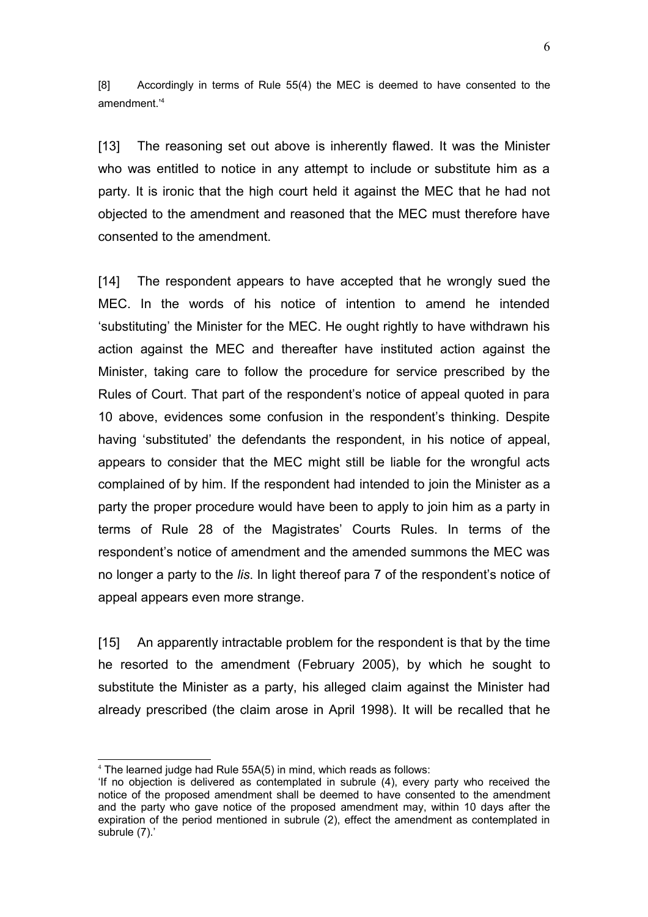[8] Accordingly in terms of Rule 55(4) the MEC is deemed to have consented to the amendment.'[4](#page-5-0)

[13] The reasoning set out above is inherently flawed. It was the Minister who was entitled to notice in any attempt to include or substitute him as a party. It is ironic that the high court held it against the MEC that he had not objected to the amendment and reasoned that the MEC must therefore have consented to the amendment.

[14] The respondent appears to have accepted that he wrongly sued the MEC. In the words of his notice of intention to amend he intended 'substituting' the Minister for the MEC. He ought rightly to have withdrawn his action against the MEC and thereafter have instituted action against the Minister, taking care to follow the procedure for service prescribed by the Rules of Court. That part of the respondent's notice of appeal quoted in para 10 above, evidences some confusion in the respondent's thinking. Despite having 'substituted' the defendants the respondent, in his notice of appeal, appears to consider that the MEC might still be liable for the wrongful acts complained of by him. If the respondent had intended to join the Minister as a party the proper procedure would have been to apply to join him as a party in terms of Rule 28 of the Magistrates' Courts Rules. In terms of the respondent's notice of amendment and the amended summons the MEC was no longer a party to the *lis*. In light thereof para 7 of the respondent's notice of appeal appears even more strange.

[15] An apparently intractable problem for the respondent is that by the time he resorted to the amendment (February 2005), by which he sought to substitute the Minister as a party, his alleged claim against the Minister had already prescribed (the claim arose in April 1998). It will be recalled that he

<span id="page-5-0"></span><sup>4</sup> The learned judge had Rule 55A(5) in mind, which reads as follows:

<sup>&#</sup>x27;If no objection is delivered as contemplated in subrule (4), every party who received the notice of the proposed amendment shall be deemed to have consented to the amendment and the party who gave notice of the proposed amendment may, within 10 days after the expiration of the period mentioned in subrule (2), effect the amendment as contemplated in subrule (7).'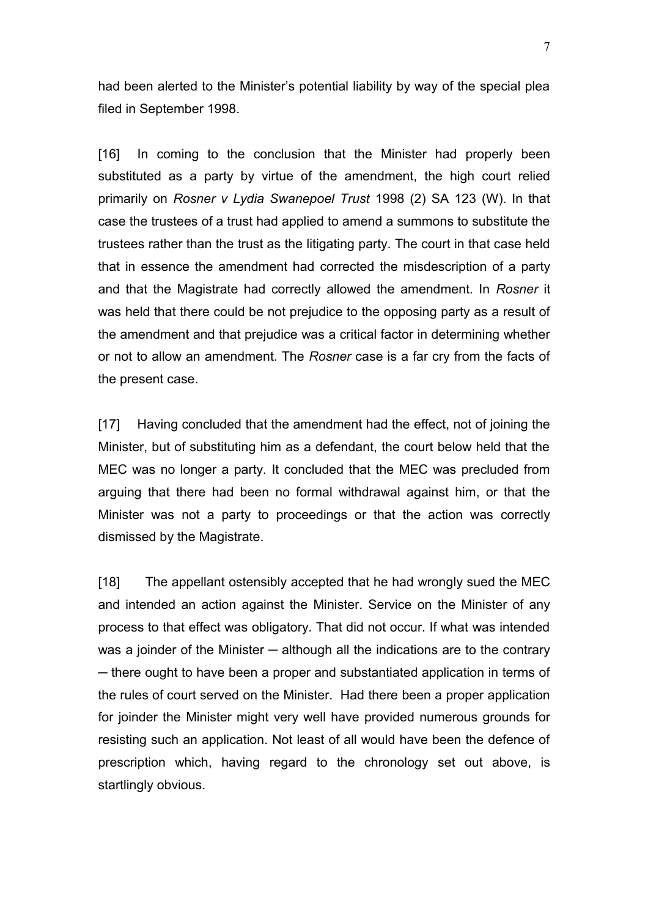had been alerted to the Minister's potential liability by way of the special plea filed in September 1998.

[16] In coming to the conclusion that the Minister had properly been substituted as a party by virtue of the amendment, the high court relied primarily on *Rosner v Lydia Swanepoel Trust* 1998 (2) SA 123 (W). In that case the trustees of a trust had applied to amend a summons to substitute the trustees rather than the trust as the litigating party. The court in that case held that in essence the amendment had corrected the misdescription of a party and that the Magistrate had correctly allowed the amendment. In *Rosner* it was held that there could be not prejudice to the opposing party as a result of the amendment and that prejudice was a critical factor in determining whether or not to allow an amendment. The *Rosner* case is a far cry from the facts of the present case.

[17] Having concluded that the amendment had the effect, not of joining the Minister, but of substituting him as a defendant, the court below held that the MEC was no longer a party. It concluded that the MEC was precluded from arguing that there had been no formal withdrawal against him, or that the Minister was not a party to proceedings or that the action was correctly dismissed by the Magistrate.

[18] The appellant ostensibly accepted that he had wrongly sued the MEC and intended an action against the Minister. Service on the Minister of any process to that effect was obligatory. That did not occur. If what was intended was a joinder of the Minister  $-$  although all the indications are to the contrary ─ there ought to have been a proper and substantiated application in terms of the rules of court served on the Minister. Had there been a proper application for joinder the Minister might very well have provided numerous grounds for resisting such an application. Not least of all would have been the defence of prescription which, having regard to the chronology set out above, is startlingly obvious.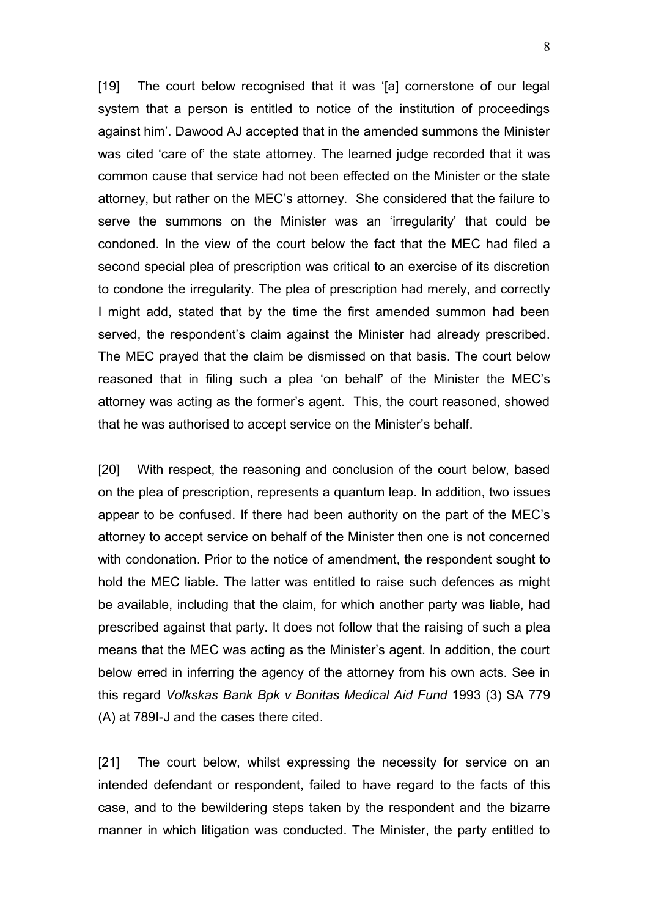[19] The court below recognised that it was '[a] cornerstone of our legal system that a person is entitled to notice of the institution of proceedings against him'. Dawood AJ accepted that in the amended summons the Minister was cited 'care of' the state attorney. The learned judge recorded that it was common cause that service had not been effected on the Minister or the state attorney, but rather on the MEC's attorney. She considered that the failure to serve the summons on the Minister was an 'irregularity' that could be condoned. In the view of the court below the fact that the MEC had filed a second special plea of prescription was critical to an exercise of its discretion to condone the irregularity. The plea of prescription had merely, and correctly I might add, stated that by the time the first amended summon had been served, the respondent's claim against the Minister had already prescribed. The MEC prayed that the claim be dismissed on that basis. The court below reasoned that in filing such a plea 'on behalf' of the Minister the MEC's attorney was acting as the former's agent. This, the court reasoned, showed that he was authorised to accept service on the Minister's behalf.

[20] With respect, the reasoning and conclusion of the court below, based on the plea of prescription, represents a quantum leap. In addition, two issues appear to be confused. If there had been authority on the part of the MEC's attorney to accept service on behalf of the Minister then one is not concerned with condonation. Prior to the notice of amendment, the respondent sought to hold the MEC liable. The latter was entitled to raise such defences as might be available, including that the claim, for which another party was liable, had prescribed against that party. It does not follow that the raising of such a plea means that the MEC was acting as the Minister's agent. In addition, the court below erred in inferring the agency of the attorney from his own acts. See in this regard *Volkskas Bank Bpk v Bonitas Medical Aid Fund* 1993 (3) SA 779 (A) at 789I-J and the cases there cited.

[21] The court below, whilst expressing the necessity for service on an intended defendant or respondent, failed to have regard to the facts of this case, and to the bewildering steps taken by the respondent and the bizarre manner in which litigation was conducted. The Minister, the party entitled to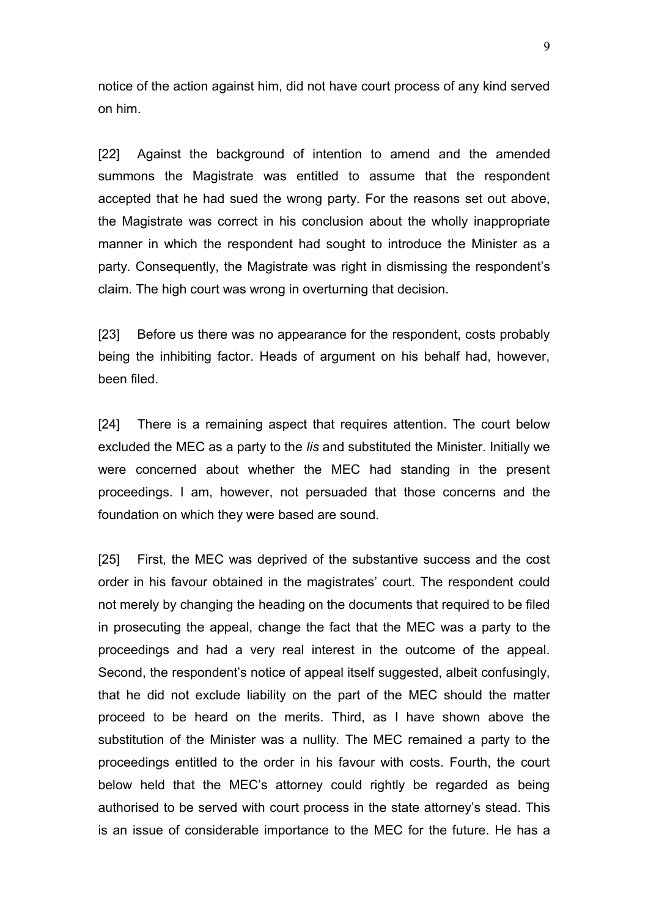notice of the action against him, did not have court process of any kind served on him.

[22] Against the background of intention to amend and the amended summons the Magistrate was entitled to assume that the respondent accepted that he had sued the wrong party. For the reasons set out above, the Magistrate was correct in his conclusion about the wholly inappropriate manner in which the respondent had sought to introduce the Minister as a party. Consequently, the Magistrate was right in dismissing the respondent's claim. The high court was wrong in overturning that decision.

[23] Before us there was no appearance for the respondent, costs probably being the inhibiting factor. Heads of argument on his behalf had, however, been filed.

[24] There is a remaining aspect that requires attention. The court below excluded the MEC as a party to the *lis* and substituted the Minister. Initially we were concerned about whether the MEC had standing in the present proceedings. I am, however, not persuaded that those concerns and the foundation on which they were based are sound.

[25] First, the MEC was deprived of the substantive success and the cost order in his favour obtained in the magistrates' court. The respondent could not merely by changing the heading on the documents that required to be filed in prosecuting the appeal, change the fact that the MEC was a party to the proceedings and had a very real interest in the outcome of the appeal. Second, the respondent's notice of appeal itself suggested, albeit confusingly, that he did not exclude liability on the part of the MEC should the matter proceed to be heard on the merits. Third, as I have shown above the substitution of the Minister was a nullity. The MEC remained a party to the proceedings entitled to the order in his favour with costs. Fourth, the court below held that the MEC's attorney could rightly be regarded as being authorised to be served with court process in the state attorney's stead. This is an issue of considerable importance to the MEC for the future. He has a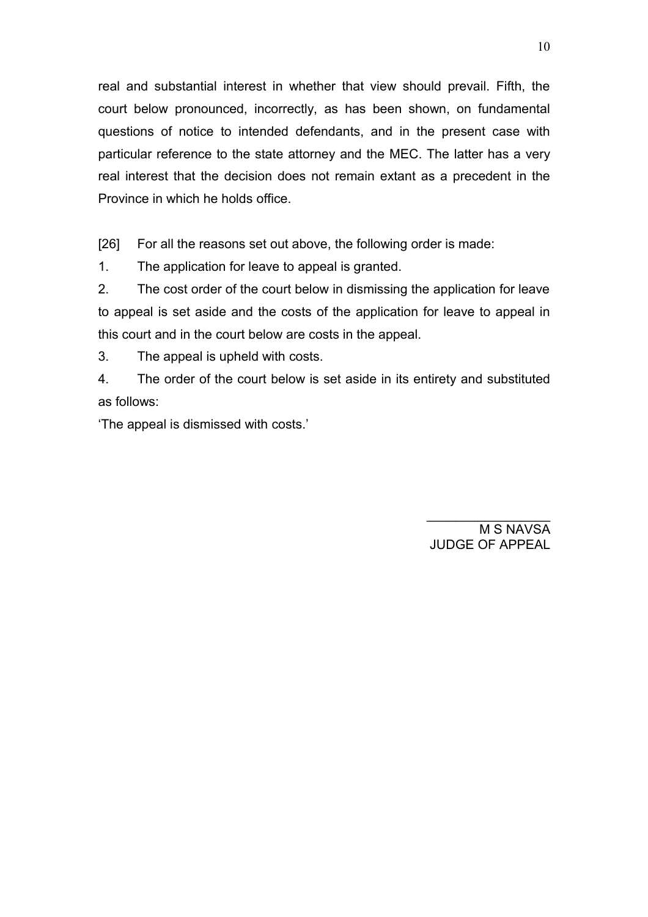real and substantial interest in whether that view should prevail. Fifth, the court below pronounced, incorrectly, as has been shown, on fundamental questions of notice to intended defendants, and in the present case with particular reference to the state attorney and the MEC. The latter has a very real interest that the decision does not remain extant as a precedent in the Province in which he holds office.

[26] For all the reasons set out above, the following order is made:

1. The application for leave to appeal is granted.

2. The cost order of the court below in dismissing the application for leave to appeal is set aside and the costs of the application for leave to appeal in this court and in the court below are costs in the appeal.

3. The appeal is upheld with costs.

4. The order of the court below is set aside in its entirety and substituted as follows:

'The appeal is dismissed with costs.'

 $\frac{1}{2}$  ,  $\frac{1}{2}$  ,  $\frac{1}{2}$  ,  $\frac{1}{2}$  ,  $\frac{1}{2}$  ,  $\frac{1}{2}$  ,  $\frac{1}{2}$  ,  $\frac{1}{2}$  ,  $\frac{1}{2}$  ,  $\frac{1}{2}$ M S NAVSA JUDGE OF APPEAL